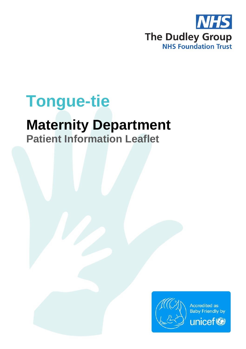

# **Tongue-tie**

## **Maternity Department**

**Patient Information Leaflet**

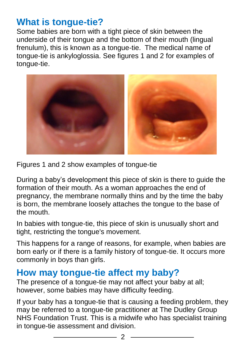### **What is tongue-tie?**

Some babies are born with a tight piece of skin between the underside of their tongue and the bottom of their mouth (lingual frenulum), this is known as a tongue-tie. The medical name of tongue-tie is ankyloglossia. See figures 1 and 2 for examples of tongue-tie.



Figures 1 and 2 show examples of tongue-tie

During a baby's development this piece of skin is there to guide the formation of their mouth. As a woman approaches the end of pregnancy, the membrane normally thins and by the time the baby is born, the membrane loosely attaches the tongue to the base of the mouth.

In babies with tongue-tie, this piece of skin is unusually short and tight, restricting the tongue's movement.

This happens for a range of reasons, for example, when babies are born early or if there is a family history of tongue-tie. It occurs more commonly in boys than girls.

### **How may tongue-tie affect my baby?**

The presence of a tongue-tie may not affect your baby at all; however, some babies may have difficulty feeding.

If your baby has a tongue-tie that is causing a feeding problem, they may be referred to a tongue-tie practitioner at The Dudley Group NHS Foundation Trust. This is a midwife who has specialist training in tongue-tie assessment and division.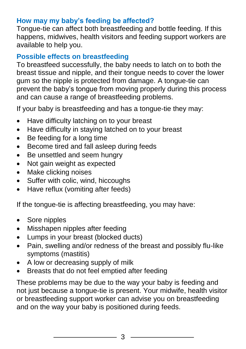### **How may my baby's feeding be affected?**

Tongue-tie can affect both breastfeeding and bottle feeding. If this happens, midwives, health visitors and feeding support workers are available to help you.

### **Possible effects on breastfeeding**

To breastfeed successfully, the baby needs to latch on to both the breast tissue and nipple, and their tongue needs to cover the lower gum so the nipple is protected from damage. A tongue-tie can prevent the baby's tongue from moving properly during this process and can cause a range of breastfeeding problems.

If your baby is breastfeeding and has a tongue-tie they may:

- Have difficulty latching on to your breast
- Have difficulty in staying latched on to your breast
- Be feeding for a long time
- Become tired and fall asleep during feeds
- Be unsettled and seem hungry
- Not gain weight as expected
- Make clicking noises
- Suffer with colic, wind, hiccoughs
- Have reflux (vomiting after feeds)

If the tongue-tie is affecting breastfeeding, you may have:

- Sore nipples
- Misshapen nipples after feeding
- Lumps in your breast (blocked ducts)
- Pain, swelling and/or redness of the breast and possibly flu-like symptoms (mastitis)
- A low or decreasing supply of milk
- Breasts that do not feel emptied after feeding

These problems may be due to the way your baby is feeding and not just because a tongue-tie is present. Your midwife, health visitor or breastfeeding support worker can advise you on breastfeeding and on the way your baby is positioned during feeds.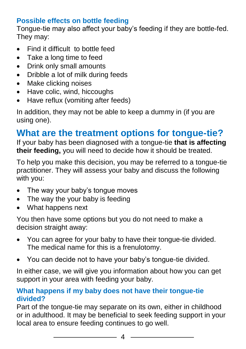### **Possible effects on bottle feeding**

Tongue-tie may also affect your baby's feeding if they are bottle-fed. They may:

- Find it difficult to bottle feed
- Take a long time to feed
- Drink only small amounts
- Dribble a lot of milk during feeds
- Make clicking noises
- Have colic, wind, hiccoughs
- Have reflux (vomiting after feeds)

In addition, they may not be able to keep a dummy in (if you are using one).

### **What are the treatment options for tongue-tie?**

If your baby has been diagnosed with a tongue-tie **that is affecting their feeding,** you will need to decide how it should be treated.

To help you make this decision, you may be referred to a tongue-tie practitioner. They will assess your baby and discuss the following with you:

- The way your baby's tonque moves
- The way the your baby is feeding
- What happens next

You then have some options but you do not need to make a decision straight away:

- You can agree for your baby to have their tongue-tie divided. The medical name for this is a frenulotomy.
- You can decide not to have your baby's tongue-tie divided.

In either case, we will give you information about how you can get support in your area with feeding your baby.

#### **What happens if my baby does not have their tongue-tie divided?**

Part of the tongue-tie may separate on its own, either in childhood or in adulthood. It may be beneficial to seek feeding support in your local area to ensure feeding continues to go well.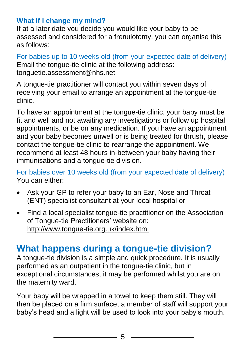### **What if I change my mind?**

If at a later date you decide you would like your baby to be assessed and considered for a frenulotomy, you can organise this as follows:

For babies up to 10 weeks old (from your expected date of delivery) Email the tongue-tie clinic at the following address: [tonguetie.assessment@nhs.net](mailto:tonguetie.assessment@nhs.net)

A tongue-tie practitioner will contact you within seven days of receiving your email to arrange an appointment at the tongue-tie clinic.

To have an appointment at the tongue-tie clinic, your baby must be fit and well and not awaiting any investigations or follow up hospital appointments, or be on any medication. If you have an appointment and your baby becomes unwell or is being treated for thrush, please contact the tongue-tie clinic to rearrange the appointment. We recommend at least 48 hours in-between your baby having their immunisations and a tongue-tie division.

For babies over 10 weeks old (from your expected date of delivery) You can either:

- Ask your GP to refer your baby to an Ear, Nose and Throat (ENT) specialist consultant at your local hospital or
- Find a local specialist tongue-tie practitioner on the Association of Tongue-tie Practitioners' website on: <http://www.tongue-tie.org.uk/index.html>

### **What happens during a tongue-tie division?**

A tongue-tie division is a simple and quick procedure. It is usually performed as an outpatient in the tongue-tie clinic, but in exceptional circumstances, it may be performed whilst you are on the maternity ward.

Your baby will be wrapped in a towel to keep them still. They will then be placed on a firm surface, a member of staff will support your baby's head and a light will be used to look into your baby's mouth.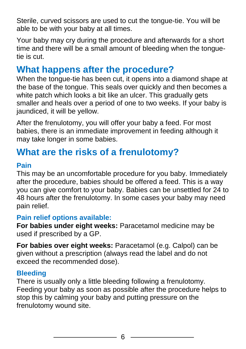Sterile, curved scissors are used to cut the tongue-tie. You will be able to be with your baby at all times.

Your baby may cry during the procedure and afterwards for a short time and there will be a small amount of bleeding when the tonguetie is cut.

### **What happens after the procedure?**

When the tongue-tie has been cut, it opens into a diamond shape at the base of the tongue. This seals over quickly and then becomes a white patch which looks a bit like an ulcer. This gradually gets smaller and heals over a period of one to two weeks. If your baby is jaundiced, it will be yellow.

After the frenulotomy, you will offer your baby a feed. For most babies, there is an immediate improvement in feeding although it may take longer in some babies.

### **What are the risks of a frenulotomy?**

#### **Pain**

This may be an uncomfortable procedure for you baby. Immediately after the procedure, babies should be offered a feed. This is a way you can give comfort to your baby. Babies can be unsettled for 24 to 48 hours after the frenulotomy. In some cases your baby may need pain relief.

#### **Pain relief options available:**

**For babies under eight weeks:** Paracetamol medicine may be used if prescribed by a GP.

**For babies over eight weeks:** Paracetamol (e.g. Calpol) can be given without a prescription (always read the label and do not exceed the recommended dose).

#### **Bleeding**

There is usually only a little bleeding following a frenulotomy. Feeding your baby as soon as possible after the procedure helps to stop this by calming your baby and putting pressure on the frenulotomy wound site.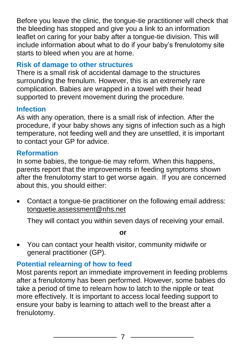Before you leave the clinic, the tongue-tie practitioner will check that the bleeding has stopped and give you a link to an information leaflet on caring for your baby after a tongue-tie division. This will include information about what to do if your baby's frenulotomy site starts to bleed when you are at home.

#### **Risk of damage to other structures**

There is a small risk of accidental damage to the structures surrounding the frenulum. However, this is an extremely rare complication. Babies are wrapped in a towel with their head supported to prevent movement during the procedure.

### **Infection**

As with any operation, there is a small risk of infection. After the procedure, if your baby shows any signs of infection such as a high temperature, not feeding well and they are unsettled, it is important to contact your GP for advice.

#### **Reformation**

In some babies, the tongue-tie may reform. When this happens, parents report that the improvements in feeding symptoms shown after the frenulotomy start to get worse again. If you are concerned about this, you should either:

 Contact a tongue-tie practitioner on the following email address: [tonguetie.assessment@nhs.net](mailto:tonguetie.assessment@nhs.net)

They will contact you within seven days of receiving your email.

**or**

 You can contact your health visitor, community midwife or general practitioner (GP).

### **Potential relearning of how to feed**

Most parents report an immediate improvement in feeding problems after a frenulotomy has been performed. However, some babies do take a period of time to relearn how to latch to the nipple or teat more effectively. It is important to access local feeding support to ensure your baby is learning to attach well to the breast after a frenulotomy.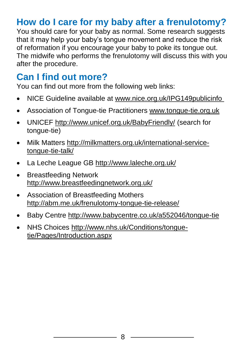### **How do I care for my baby after a frenulotomy?**

You should care for your baby as normal. Some research suggests that it may help your baby's tongue movement and reduce the risk of reformation if you encourage your baby to poke its tongue out. The midwife who performs the frenulotomy will discuss this with you after the procedure.

### **Can I find out more?**

You can find out more from the following web links:

- NICE Guideline available at [www.nice.org.uk/IPG149publicinfo](http://www.nice.org.uk/IPG149publicinfo)
- Association of Tongue-tie Practitioners [www.tongue-tie.org.uk](http://www.tongue-tie.org.uk/)
- UNICEF<http://www.unicef.org.uk/BabyFriendly/> (search for tongue-tie)
- Milk Matters [http://milkmatters.org.uk/international-service](http://milkmatters.org.uk/international-service-tongue-tie-talk/)[tongue-tie-talk/](http://milkmatters.org.uk/international-service-tongue-tie-talk/)
- La Leche League GB<http://www.laleche.org.uk/>
- Breastfeeding Network <http://www.breastfeedingnetwork.org.uk/>
- Association of Breastfeeding Mothers <http://abm.me.uk/frenulotomy-tongue-tie-release/>
- Baby Centre<http://www.babycentre.co.uk/a552046/tongue-tie>
- NHS Choices [http://www.nhs.uk/Conditions/tongue](http://www.nhs.uk/Conditions/tongue-tie/Pages/Introduction.aspx)[tie/Pages/Introduction.aspx](http://www.nhs.uk/Conditions/tongue-tie/Pages/Introduction.aspx)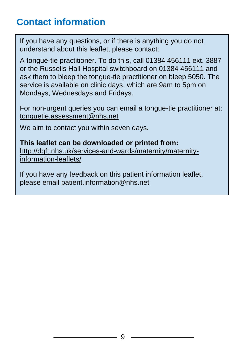### **Contact information**

If you have any questions, or if there is anything you do not understand about this leaflet, please contact:

A tongue-tie practitioner. To do this, call 01384 456111 ext. 3887 or the Russells Hall Hospital switchboard on 01384 456111 and ask them to bleep the tongue-tie practitioner on bleep 5050. The service is available on clinic days, which are 9am to 5pm on Mondays, Wednesdays and Fridays.

For non-urgent queries you can email a tongue-tie practitioner at: [tonguetie.assessment@nhs.net](mailto:tonguetie.assessment@nhs.net)

We aim to contact you within seven days.

**This leaflet can be downloaded or printed from:** [http://dgft.nhs.uk/services-and-wards/maternity/maternity](http://dgft.nhs.uk/services-and-wards/maternity/maternity-information-leaflets/)[information-leaflets/](http://dgft.nhs.uk/services-and-wards/maternity/maternity-information-leaflets/)

If you have any feedback on this patient information leaflet, please email patient.information@nhs.net